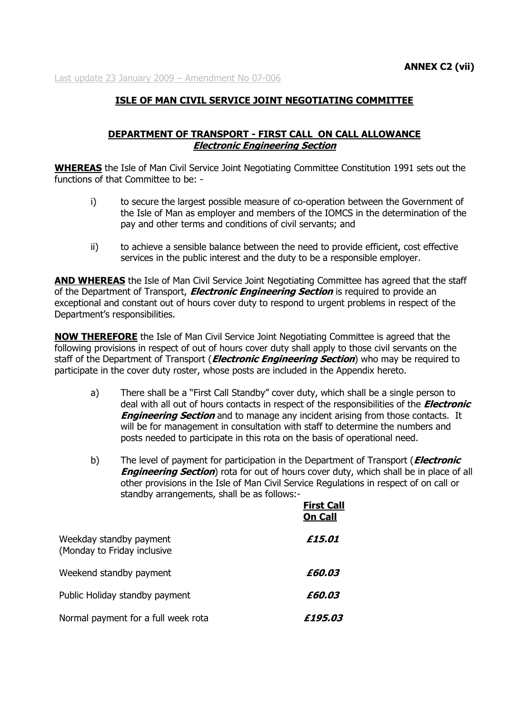# **ISLE OF MAN CIVIL SERVICE JOINT NEGOTIATING COMMITTEE**

## **DEPARTMENT OF TRANSPORT - FIRST CALL ON CALL ALLOWANCE Electronic Engineering Section**

**WHEREAS** the Isle of Man Civil Service Joint Negotiating Committee Constitution 1991 sets out the functions of that Committee to be: -

- i) to secure the largest possible measure of co-operation between the Government of the Isle of Man as employer and members of the IOMCS in the determination of the pay and other terms and conditions of civil servants; and
- ii) to achieve a sensible balance between the need to provide efficient, cost effective services in the public interest and the duty to be a responsible employer.

**AND WHEREAS** the Isle of Man Civil Service Joint Negotiating Committee has agreed that the staff of the Department of Transport, **Electronic Engineering Section** is required to provide an exceptional and constant out of hours cover duty to respond to urgent problems in respect of the Department"s responsibilities.

**NOW THEREFORE** the Isle of Man Civil Service Joint Negotiating Committee is agreed that the following provisions in respect of out of hours cover duty shall apply to those civil servants on the staff of the Department of Transport (**Electronic Engineering Section**) who may be required to participate in the cover duty roster, whose posts are included in the Appendix hereto.

- a) There shall be a "First Call Standby" cover duty, which shall be a single person to deal with all out of hours contacts in respect of the responsibilities of the **Electronic Engineering Section** and to manage any incident arising from those contacts. It will be for management in consultation with staff to determine the numbers and posts needed to participate in this rota on the basis of operational need.
- b) The level of payment for participation in the Department of Transport (**Electronic Engineering Section**) rota for out of hours cover duty, which shall be in place of all other provisions in the Isle of Man Civil Service Regulations in respect of on call or standby arrangements, shall be as follows:-

|                                                        | <b>First Call</b><br><b>On Call</b> |
|--------------------------------------------------------|-------------------------------------|
| Weekday standby payment<br>(Monday to Friday inclusive | £15.01                              |
| Weekend standby payment                                | £60.03                              |
| Public Holiday standby payment                         | £60.03                              |
| Normal payment for a full week rota                    | £195.03                             |